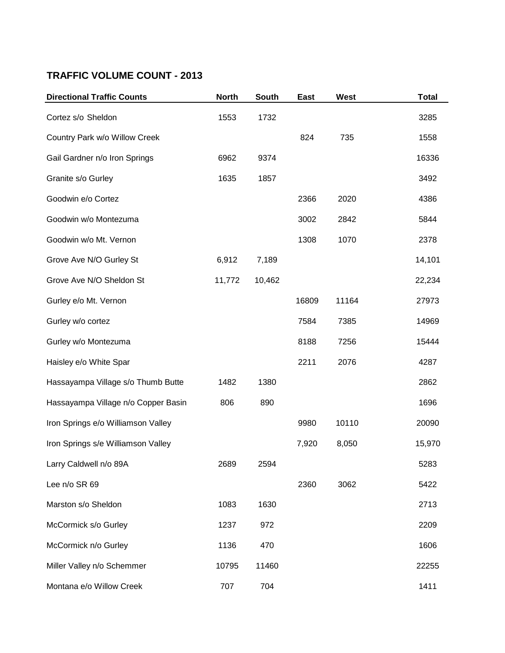## **TRAFFIC VOLUME COUNT - 2013**

| <b>Directional Traffic Counts</b>   | <b>North</b> | <b>South</b> | East  | West  | <b>Total</b> |
|-------------------------------------|--------------|--------------|-------|-------|--------------|
| Cortez s/o Sheldon                  | 1553         | 1732         |       |       | 3285         |
| Country Park w/o Willow Creek       |              |              | 824   | 735   | 1558         |
| Gail Gardner n/o Iron Springs       | 6962         | 9374         |       |       | 16336        |
| Granite s/o Gurley                  | 1635         | 1857         |       |       | 3492         |
| Goodwin e/o Cortez                  |              |              | 2366  | 2020  | 4386         |
| Goodwin w/o Montezuma               |              |              | 3002  | 2842  | 5844         |
| Goodwin w/o Mt. Vernon              |              |              | 1308  | 1070  | 2378         |
| Grove Ave N/O Gurley St             | 6,912        | 7,189        |       |       | 14,101       |
| Grove Ave N/O Sheldon St            | 11,772       | 10,462       |       |       | 22,234       |
| Gurley e/o Mt. Vernon               |              |              | 16809 | 11164 | 27973        |
| Gurley w/o cortez                   |              |              | 7584  | 7385  | 14969        |
| Gurley w/o Montezuma                |              |              | 8188  | 7256  | 15444        |
| Haisley e/o White Spar              |              |              | 2211  | 2076  | 4287         |
| Hassayampa Village s/o Thumb Butte  | 1482         | 1380         |       |       | 2862         |
| Hassayampa Village n/o Copper Basin | 806          | 890          |       |       | 1696         |
| Iron Springs e/o Williamson Valley  |              |              | 9980  | 10110 | 20090        |
| Iron Springs s/e Williamson Valley  |              |              | 7,920 | 8,050 | 15,970       |
| Larry Caldwell n/o 89A              | 2689         | 2594         |       |       | 5283         |
| Lee n/o SR 69                       |              |              | 2360  | 3062  | 5422         |
| Marston s/o Sheldon                 | 1083         | 1630         |       |       | 2713         |
| McCormick s/o Gurley                | 1237         | 972          |       |       | 2209         |
| McCormick n/o Gurley                | 1136         | 470          |       |       | 1606         |
| Miller Valley n/o Schemmer          | 10795        | 11460        |       |       | 22255        |
| Montana e/o Willow Creek            | 707          | 704          |       |       | 1411         |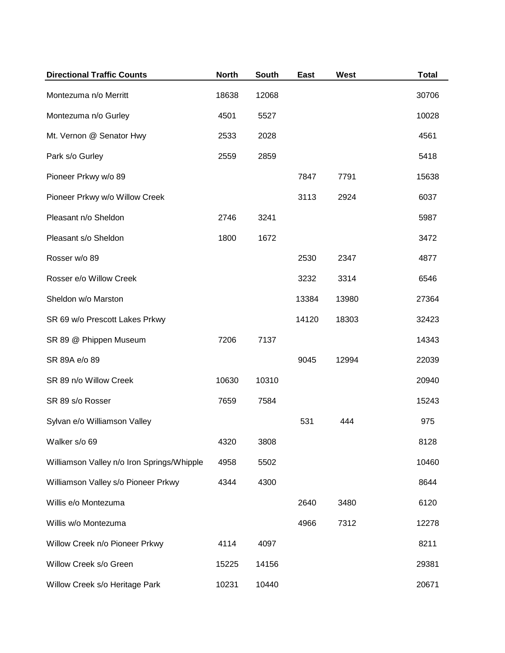| <b>Directional Traffic Counts</b>          | <b>North</b> | South | East  | West  | <b>Total</b> |
|--------------------------------------------|--------------|-------|-------|-------|--------------|
| Montezuma n/o Merritt                      | 18638        | 12068 |       |       | 30706        |
| Montezuma n/o Gurley                       | 4501         | 5527  |       |       | 10028        |
| Mt. Vernon @ Senator Hwy                   | 2533         | 2028  |       |       | 4561         |
| Park s/o Gurley                            | 2559         | 2859  |       |       | 5418         |
| Pioneer Prkwy w/o 89                       |              |       | 7847  | 7791  | 15638        |
| Pioneer Prkwy w/o Willow Creek             |              |       | 3113  | 2924  | 6037         |
| Pleasant n/o Sheldon                       | 2746         | 3241  |       |       | 5987         |
| Pleasant s/o Sheldon                       | 1800         | 1672  |       |       | 3472         |
| Rosser w/o 89                              |              |       | 2530  | 2347  | 4877         |
| Rosser e/o Willow Creek                    |              |       | 3232  | 3314  | 6546         |
| Sheldon w/o Marston                        |              |       | 13384 | 13980 | 27364        |
| SR 69 w/o Prescott Lakes Prkwy             |              |       | 14120 | 18303 | 32423        |
| SR 89 @ Phippen Museum                     | 7206         | 7137  |       |       | 14343        |
| SR 89A e/o 89                              |              |       | 9045  | 12994 | 22039        |
| SR 89 n/o Willow Creek                     | 10630        | 10310 |       |       | 20940        |
| SR 89 s/o Rosser                           | 7659         | 7584  |       |       | 15243        |
| Sylvan e/o Williamson Valley               |              |       | 531   | 444   | 975          |
| Walker s/o 69                              | 4320         | 3808  |       |       | 8128         |
| Williamson Valley n/o Iron Springs/Whipple | 4958         | 5502  |       |       | 10460        |
| Williamson Valley s/o Pioneer Prkwy        | 4344         | 4300  |       |       | 8644         |
| Willis e/o Montezuma                       |              |       | 2640  | 3480  | 6120         |
| Willis w/o Montezuma                       |              |       | 4966  | 7312  | 12278        |
| Willow Creek n/o Pioneer Prkwy             | 4114         | 4097  |       |       | 8211         |
| Willow Creek s/o Green                     | 15225        | 14156 |       |       | 29381        |
| Willow Creek s/o Heritage Park             | 10231        | 10440 |       |       | 20671        |